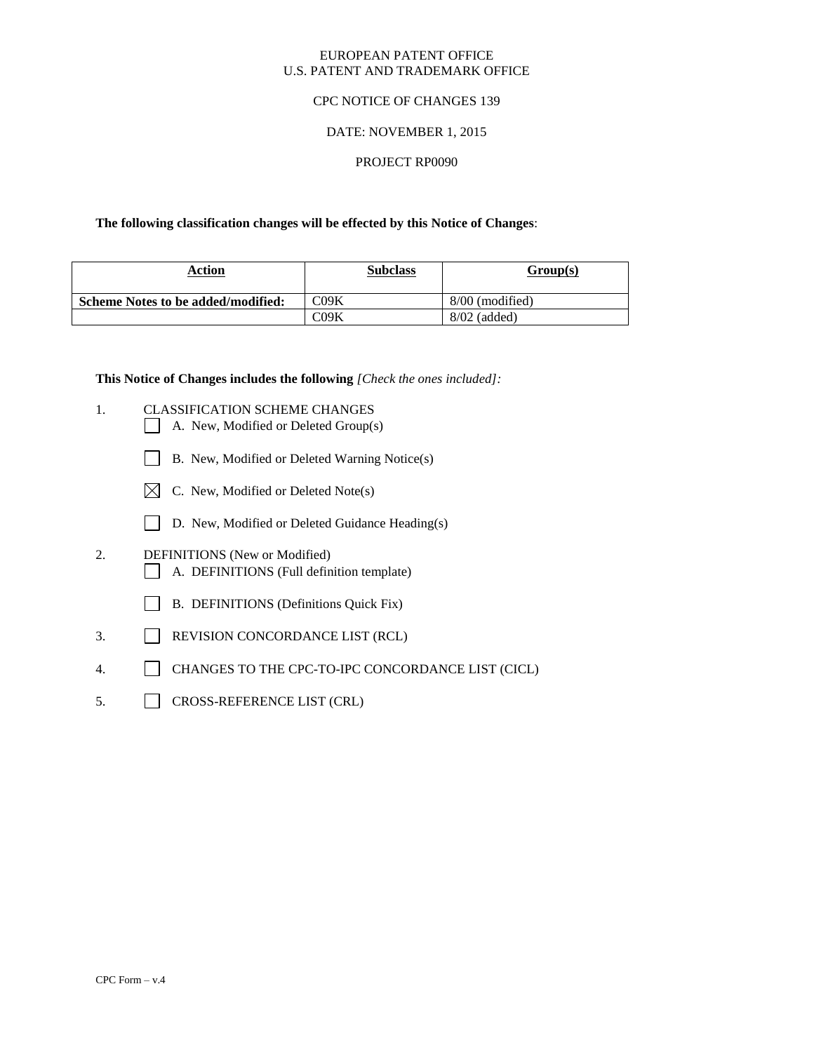#### EUROPEAN PATENT OFFICE U.S. PATENT AND TRADEMARK OFFICE

## CPC NOTICE OF CHANGES 139

### DATE: NOVEMBER 1, 2015

#### PROJECT RP0090

#### **The following classification changes will be effected by this Notice of Changes**:

| Action                             | <b>Subclass</b> | Group(s)          |
|------------------------------------|-----------------|-------------------|
| Scheme Notes to be added/modified: | C09K            | $8/00$ (modified) |
|                                    | 709K            | $8/02$ (added)    |

**This Notice of Changes includes the following** *[Check the ones included]:*

- 1. CLASSIFICATION SCHEME CHANGES
	- A. New, Modified or Deleted Group(s)
	- B. New, Modified or Deleted Warning Notice(s)
	- $\boxtimes$  C. New, Modified or Deleted Note(s)
	- D. New, Modified or Deleted Guidance Heading(s)
- 2. DEFINITIONS (New or Modified) A. DEFINITIONS (Full definition template)
	- B. DEFINITIONS (Definitions Quick Fix)
- 3. REVISION CONCORDANCE LIST (RCL)
- 4. CHANGES TO THE CPC-TO-IPC CONCORDANCE LIST (CICL)
- 5. CROSS-REFERENCE LIST (CRL)